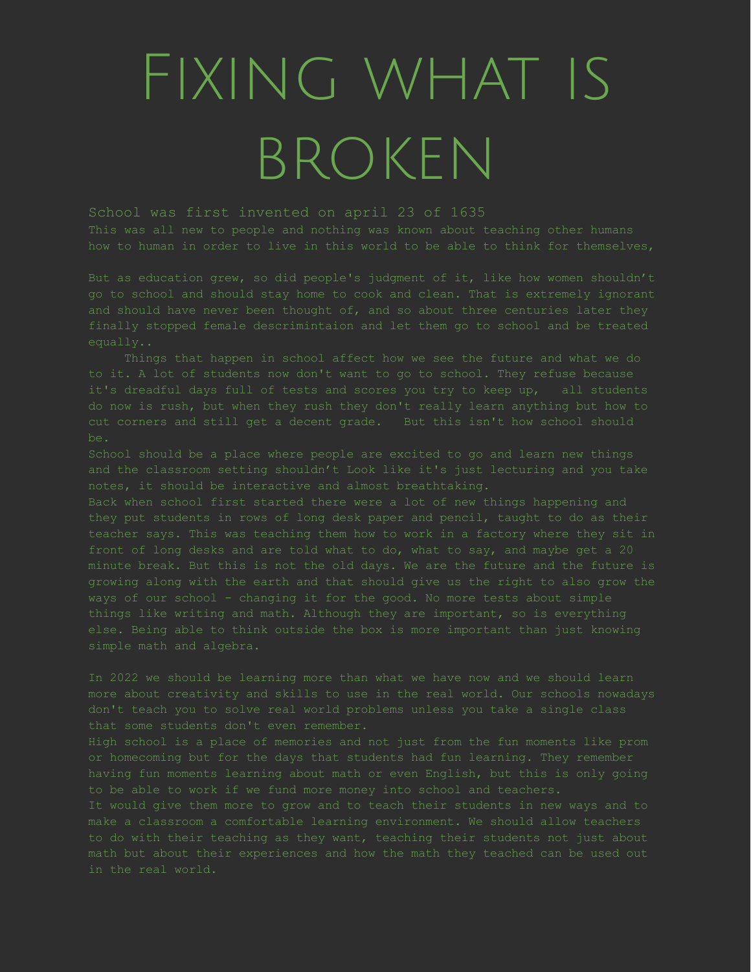## Fixing what is broken

School was first invented on april 23 of 1635

This was all new to people and nothing was known about teaching other humans how to human in order to live in this world to be able to think for themselves,

finally stopped female descrimintaion and let them go to school and be treated

School should be a place where people are excited to go and learn new things and the classroom setting shouldn't Look like it's just lecturing and you take

Back when school first started there were a lot of new things happening and else. Being able to think outside the box is more important than just knowing

In 2022 we should be learning more than what we have now and we should learn that some students don't even remember.

or homecoming but for the days that students had fun learning. They remember

in the real world.